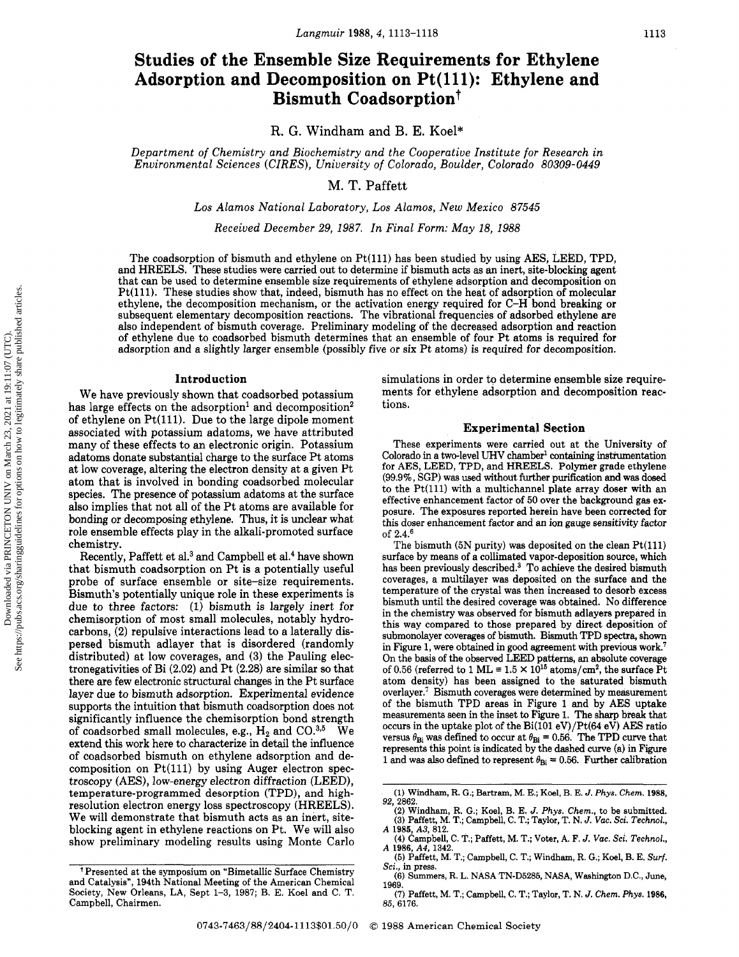# Studies of the Ensemble Size Requirements for Ethylene Adsorption and Decomposition on Pt(lll): Ethylene and Bismuth Coadsorption<sup>†</sup>

R. G. Windham and B. E. Koel\*

Department of Chemistry and Biochemistry and the Cooperative Institute for Research in Environmental Sciences (CIRES), University of Colorado, Boulder, Colorado 80309-0449

M. T. Paffett

Los Alamos National Laboratory, Los Alamos, New Mexico 87545

Received December 29, 1987. In Final Form: May 18, 1988

The coadsorption of bismuth and ethylene on  $Pt(111)$  has been studied by using AES, LEED, TPD and HREELS. These studies were carried out to determine if bismuth acts as an inert, site-blocking agent that can be used to determine ensemble size requirements of ethylene adsorption and decomposition on Pt(lll). These studies show that, indeed, bismuth has no effect on the heat of adsorption of molecular ethylene, the decomposition mechanism, or the activation energy required for C-H bond breaking or subsequent elementary decomposition reactions. The vibrational frequencies of adsorbed ethylene are also independent of bismuth coverage. Preliminary modeling of the decreased adsorption and reaction of ethylene due to coadsorbed bismuth determines that an ensemble of four Pt atoms is required for adsorption and <sup>a</sup> slightly larger ensemble (possibly five of six Pt atoms) is required for decomposition.

#### Introduction

We have previously shown that coadsorbed potassium has large effects on the adsorption<sup>1</sup> and decomposition<sup>2</sup> of ethylene on  $Pt(111)$ . Due to the large dipole moment associated with potassium adatoms, we have attributed many of these effects to an electronic origin. Potassium adatoms donate substantial charge to the surface Pt atoms at low coverage, altering the electron density at <sup>a</sup> given Pt atom that is involved in bonding coadsorbed molecular species. The presence of potassium adatoms at the surface also implies that not all of the Pt atoms are available for bonding or decomposing ethylene. Thus, it is unclear what role ensemble effects play in the alkali-promoted surface chemistry.

Recently, Paffett et al. $3$  and Campbell et al. $4$  have shown that bismuth coadsorption on Pt is <sup>a</sup> potentially useful probe of surface ensemble or site-size requirements. Bismuth's potentially unique role in these experiments is due to three factors: (1) bismuth is largely inert for chemisorption of most small molecules, notably hydrocarbons, (2) repulsive interactions lead to <sup>a</sup> laterally dispersed bismuth adlayer that is disordered (randomly distributed) at low coverages, and (3) the Pauling electronegativities of Bi (2.02) and Pt (2.28) are similar so that there are few electronic structural changes in the Pt surface layer due to bismuth adsorption. Experimental evidence supports the intuition that bismuth coadsorption does not significantly influence the chemisorption bond strength of coadsorbed small molecules, e.g.,  $H_2$  and CO.<sup>3,5</sup> We extend this work here to characterize in detail the influence of coadsorbed bismuth on ethylene adsorption and decomposition on  $Pt(111)$  by using Auger electron spectroscopy (AES), low-energy electron diffraction (LEED), temperature-programmed desorption (TPD), and highresolution electron energy loss spectroscopy (HREELS). We will demonstrate that bismuth acts as an inert, siteblocking agent in ethylene reactions on Pt. We will also show preliminary modeling results using Monte Carlo

simulations in order to determine ensemble size requirements for ethylene adsorption and decomposition reactions.

#### Experimental Section

These experiments were carried out at the University of Colorado in a two-level UHV chamber<sup>1</sup> containing instrumentation for AES, LEED, TPD, and HREELS. Polymer grade ethylene (99.9%, SGP) was used without further purification and was dosed to the Pt(lll) with <sup>a</sup> multichannel plate array doser with an effective enhancement factor of <sup>50</sup> over the background gas exposure. The exposures reported herein have been corrected for this doser enhancement factor and an ion gauge sensitivity factor of 2.4.6

The bismuth  $(5N$  purity) was deposited on the clean  $Pt(111)$ surface by means of <sup>a</sup> collimated vapor-deposition source, which has been previously described.3 To achieve the desired bismuth coverages, <sup>a</sup> multilayer was deposited on the surface and the temperature of the crystal was then increased to desorb excess bismuth until the desired coverage was obtained. No difference in the chemistry was observed for bismuth adlayers prepared in this way compared to those prepared by direct deposition of submonolayer coverages of bismuth. Bismuth TPD spectra, shown in Figure 1, were obtained in good agreement with previous work.7 On the basis of the observed LEED patterns, an absolute coverage of 0.56 (referred to 1 ML =  $1.5 \times 10^{15}$  atoms/cm<sup>2</sup>, the surface Pt atom density) has been assigned to the saturated bismuth overlayer.7 Bismuth coverages were determined by measurement of the bismuth TPD areas in Figure <sup>1</sup> and by AES uptake measurements seen in the inset to Figure 1. The sharp break that occurs in the uptake plot of the  $Bi(101 eV)/Pt(64 eV)$  AES ratio versus  $\theta_{\text{Bi}}$  was defined to occur at  $\theta_{\text{Bi}} = 0.56$ . The TPD curve that represents this point is indicated by the dashed curve (a) in Figure 1 and was also defined to represent  $\theta_{\text{Bi}} = 0.56$ . Further calibration

<sup>f</sup> Presented at the symposium on "Bimetallic Surface Chemistry and Catalysis", 194th National Meeting of the American Chemical Society, New Orleans, LA, Sept 1-3, 1987; B. E. Koel and C. T. Campbell, Chairmen.

<sup>(1)</sup> Windham, R. G.; Bartram, M. E.; Koel, B. E. J. Phys. Chem. 1988, 92, 2862.

<sup>(2)</sup> Windham, R. G.; Koel, B. E. J. Phys. Chem., to be submitted.<br>(3) Paffett, M. T.; Campbell, C. T.; Taylor, T. N. J. Vac. Sci. Technol., A 1985, A3, 812.

<sup>(4)</sup> Campbell, C. T.; Paffett, M. T.; Voter, A. F. J. Vac. Sci. Technol., A 1986, A4, 1342.

<sup>(5)</sup> Paffett, M. T.; Campbell, C. T.; Windham, R. G.; Koel, B. E. Surf. Sci., in press.

<sup>(6)</sup> Summers, R. L. NASA TN-D528S, NASA, Washington D.C., June, 1969.

<sup>(7)</sup> Paffett, M. T.; Campbell, C. T.; Taylor, T. N. J. Chem. Phys. 1986, 85, 6176.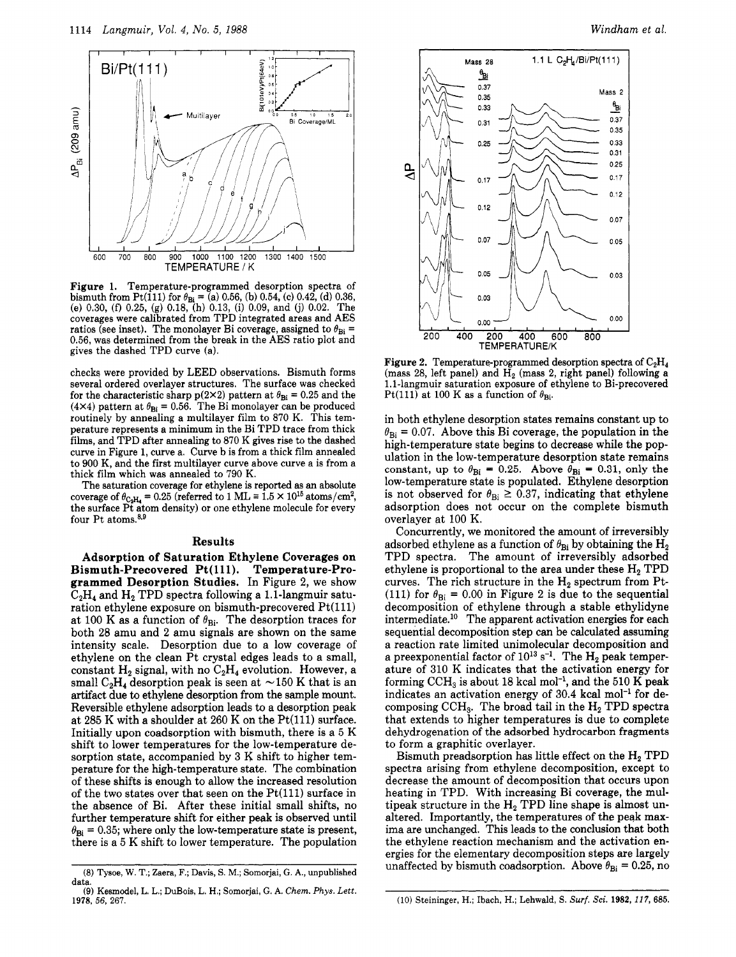

Figure 1. Temperature-programmed desorption spectra of bismuth from Pt(111) for  $\theta_{\text{Bi}} =$  (a) 0.56, (b) 0.54, (c) 0.42, (d) 0.36, (e) 0.30, (f) 0.25, (g) 0.18, (h) 0.13, (i) 0.09, and (j) 0.02. The coverages were calibrated from TPD integrated areas and AES ratios (see inset). The monolayer Bi coverage, assigned to  $\theta_{\text{Bi}}$  = 0.56, was determined from the break in the AES ratio plot and gives the dashed TPD curve (a).

checks were provided by LEED observations. Bismuth forms several ordered overlayer structures. The surface was checked for the characteristic sharp  $p(2\times2)$  pattern at  $\theta_{\text{Bi}} = 0.25$  and the (4×4) pattern at  $\theta_{\text{Bi}} = 0.56$ . The Bi monolayer can be produced routinely by annealing <sup>a</sup> multilayer film to <sup>870</sup> K. This temperature represents <sup>a</sup> minimum in the Bi TPD trace from thick films, and TPD after annealing to <sup>870</sup> K gives rise to the dashed curve in Figure 1, curve a. Curve b is from <sup>a</sup> thick film annealed to 900 K, and the first multilayer curve above curve <sup>a</sup> is from <sup>a</sup> thick film which was annealed to 790 K.

The saturation coverage for ethylene is reported as an absolute coverage of  $\theta_{\text{C}_2\text{H}_4}$  = 0.25 (referred to 1 ML = 1.5  $\times$  10<sup>15</sup> atoms/cm<sup>2</sup>, the surface Pt atom density) or one ethylene molecule for every four Pt atoms.<sup>8,9</sup>

### Results

Adsorption of Saturation Ethylene Coverages on Bismuth-Precovered Pt(lll). Temperature-Programmed Desorption Studies. In Figure 2, we show  $C_2H_4$  and  $H_2$  TPD spectra following a 1.1-langmuir saturation ethylene exposure on bismuth-precovered Pt(111) at 100 K as a function of  $\theta_{\text{Bi}}$ . The desorption traces for both 28 amu and <sup>2</sup> amu signals are shown on the same intensity scale. Desorption due to <sup>a</sup> low coverage of ethylene on the clean Pt crystal edges leads to <sup>a</sup> small, constant  $H_2$  signal, with no  $C_2H_4$  evolution. However, a small  $C_2H_4$  desorption peak is seen at  $\sim$ 150 K that is an artifact due to ethylene desorption from the sample mount. Reversible ethylene adsorption leads to <sup>a</sup> desorption peak at <sup>285</sup> K with <sup>a</sup> shoulder at <sup>260</sup> K on the Pt(lll) surface. Initially upon coadsorption with bismuth, there is <sup>a</sup> <sup>5</sup> K shift to lower temperatures for the low-temperature desorption state, accompanied by <sup>3</sup> K shift to higher temperature for the high-temperature state. The combination of these shifts is enough to allow the increased resolution of the two states over that seen on the  $Pt(111)$  surface in the absence of Bi. After these initial small shifts, no further temperature shift for either peak is observed until  $\theta_{\text{Bi}}$  = 0.35; where only the low-temperature state is present, there is <sup>a</sup> <sup>5</sup> K shift to lower temperature. The population



Figure 2. Temperature-programmed desorption spectra of  $C_2H_4$ (mass 28, left panel) and  $\overline{H}_2$  (mass 2, right panel) following a 1.1-langmuir saturation exposure of ethylene to Bi-precovered Pt(111) at 100 K as a function of  $\theta_{\text{Bi}}$ .

in both ethylene desorption states remains constant up to  $\theta_{\text{Bi}}$  = 0.07. Above this Bi coverage, the population in the high-temperature state begins to decrease while the population in the low-temperature desorption state remains constant, up to  $\theta_{\text{Bi}} = 0.25$ . Above  $\theta_{\text{Bi}} = 0.31$ , only the low-temperature state is populated. Ethylene desorption is not observed for  $\theta_{\text{Bi}} \geq 0.37$ , indicating that ethylene adsorption does not occur on the complete bismuth overlayer at <sup>100</sup> K.

Concurrently, we monitored the amount of irreversibly adsorbed ethylene as a function of  $\theta_{\rm Bi}$  by obtaining the  $\rm H_2$ TPD spectra. The amount of irreversibly adsorbed ethylene is proportional to the area under these  $H_2$  TPD curves. The rich structure in the  $H_2$  spectrum from Pt-(111) for  $\theta_{\text{Bi}} = 0.00$  in Figure 2 is due to the sequential decomposition of ethylene through <sup>a</sup> stable ethylidyne intermediate. $^{10}$  The apparent activation energies for each sequential decomposition step can be calculated assuming <sup>a</sup> reaction rate limited unimolecular decomposition and a preexponential factor of  $10^{13}$  s<sup>-1</sup>. The H<sub>2</sub> peak temperature of 310 K indicates that the activation energy for forming  $CCH<sub>3</sub>$  is about 18 kcal mol<sup>-1</sup>, and the 510 K peak indicates an activation energy of 30.4 kcal mol'1 for decomposing  $CCH_3$ . The broad tail in the  $H_2$  TPD spectra that extends to higher temperatures is due to complete dehydrogenation of the adsorbed hydrocarbon fragments to form <sup>a</sup> graphitic overlayer.

Bismuth preadsorption has little effect on the  $H_2$  TPD spectra arising from ethylene decomposition, except to decrease the amount of decomposition that occurs upon heating in TPD. With increasing Bi coverage, the multipeak structure in the  $H_2$  TPD line shape is almost unaltered. Importantly, the temperatures of the peak maxima are unchanged. This leads to the conclusion that both the ethylene reaction mechanism and the activation energies for the elementary decomposition steps are largely unaffected by bismuth coadsorption. Above  $\theta_{\text{Bi}}$  = 0.25, no

<sup>(8)</sup> Tysoe, W. T.; Zaera, F.; Davis, S. M.; Somorjai, G. A., unpublished data.

<sup>(9)</sup> Kesmodel, L. L; DuBois, L. H.; Somorjai, G. A. Chem. Phys. Lett. 1978, 56, 267.

<sup>(10)</sup> Steininger, H.; Ibach, H.; Lehwald, S. Surf. Sci. 1982, 117, 685.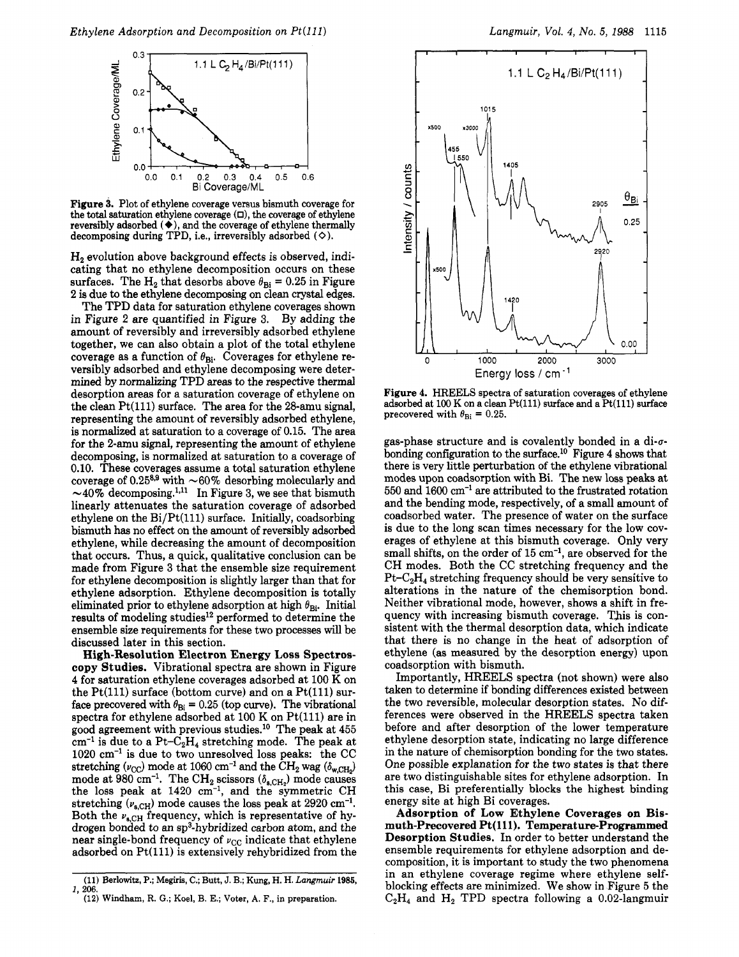

Figure 3. Plot of ethylene coverage versus bismuth coverage for the total saturation ethylene coverage  $(\Box)$ , the coverage of ethylene reversibly adsorbed  $(\blacklozenge)$ , and the coverage of ethylene thermally decomposing during TPD, i.e., irreversibly adsorbed  $(\diamond)$ .

 $H<sub>2</sub>$  evolution above background effects is observed, indicating that no ethylene decomposition occurs on these surfaces. The H<sub>2</sub> that desorbs above  $\theta_{\text{Bi}} = 0.25$  in Figure 2 is due to the ethylene decomposing on clean crystal edges.

The TPD data for saturation ethylene coverages shown in Figure <sup>2</sup> are quantified in Figure 3. By adding the amount of reversibly and irreversibly adsorbed ethylene together, we can also obtain <sup>a</sup> plot of the total ethylene coverage as a function of  $\theta_{\text{Bi}}$ . Coverages for ethylene reversibly adsorbed and ethylene decomposing were determined by normalizing TPD areas to the respective thermal desorption areas for <sup>a</sup> saturation coverage of ethylene on the clean  $Pt(111)$  surface. The area for the 28-amu signal, representing the amount of reversibly adsorbed ethylene, is normalized at saturation to <sup>a</sup> coverage of 0.15. The area for the 2-amu signal, representing the amount of ethylene decomposing, is normalized at saturation to <sup>a</sup> coverage of 0.10. These coverages assume <sup>a</sup> total saturation ethylene coverage of  $0.25^{8,9}$  with  $\sim 60\%$  desorbing molecularly and  $\sim$ 40% decomposing.<sup>1,11</sup> In Figure 3, we see that bismuth linearly attenuates the saturation coverage of adsorbed ethylene on the Bi/Pt(lll) surface. Initially, coadsorbing bismuth has no effect on the amount of reversibly adsorbed ethylene, while decreasing the amount of decomposition that occurs. Thus, <sup>a</sup> quick, qualitative conclusion can be made from Figure <sup>3</sup> that the ensemble size requirement for ethylene decomposition is slightly larger than that for ethylene adsorption. Ethylene decomposition is totally eliminated prior to ethylene adsorption at high  $\theta_{\text{Bi}}$ . Initial results of modeling studies<sup>12</sup> performed to determine the ensemble size requirements for these two processes will be discussed later in this section.

High-Resolution Electron Energy Loss Spectroscopy Studies. Vibrational spectra are shown in Figure <sup>4</sup> for saturation ethylene coverages adsorbed at <sup>100</sup> K on the  $Pt(111)$  surface (bottom curve) and on a  $Pt(111)$  surface precovered with  $\theta_{\text{Bi}} = 0.25$  (top curve). The vibrational spectra for ethylene adsorbed at  $100$  K on Pt(111) are in good agreement with previous studies.10 The peak at 455  $cm^{-1}$  is due to a Pt-C<sub>2</sub>H<sub>4</sub> stretching mode. The peak at 1020 cm'1 is due to two unresolved loss peaks: the CC stretching ( $v_{\rm CC}$ ) mode at 1060 cm<sup>-1</sup> and the CH<sub>2</sub> wag ( $\delta_{\rm w, CH_2}$ ) mode at 980 cm<sup>-1</sup>. The CH<sub>2</sub> scissors ( $\delta_{\rm s,CH_2}$ ) mode cause the loss peak at  $1420 \text{ cm}^{-1}$ , and the symmetric CH stretching  $(v_{s,CH})$  mode causes the loss peak at 2920 cm<sup>-1</sup>. Both the  $\nu_{s,CH}$  frequency, which is representative of hydrogen bonded to an sp<sup>3</sup>-hybridized carbon atom, and the near single-bond frequency of  $\nu_{\rm CC}$  indicate that ethylene adsorbed on Pt(lll) is extensively rehybridized from the



Figure 4. HREELS spectra of saturation coverages of ethylene adsorbed at <sup>100</sup> K on <sup>a</sup> clean Pt(lll) surface and <sup>a</sup> Pt(lll) surface precovered with  $\theta_{\rm Bi} = 0.25$ .

gas-phase structure and is covalently bonded in a di- $\sigma$ bonding configuration to the surface.<sup>10</sup> Figure 4 shows that there is very little perturbation of the ethylene vibrational modes upon coadsorption with Bi. The new loss peaks at  $550$  and  $1600 \text{ cm}^{-1}$  are attributed to the frustrated rotation and the bending mode, respectively, of <sup>a</sup> small amount of coadsorbed water. The presence of water on the surface is due to the long scan times necessary for the low coverages of ethylene at this bismuth coverage. Only very small shifts, on the order of  $15 \text{ cm}^{-1}$ , are observed for the CH modes. Both the CC stretching frequency and the  $Pt-C<sub>2</sub>H<sub>4</sub>$  stretching frequency should be very sensitive to alterations in the nature of the chemisorption bond. Neither vibrational mode, however, shows <sup>a</sup> shift in frequency with increasing bismuth coverage. This is consistent with the thermal desorption data, which indicate that there is no change in the heat of adsorption of ethylene (as measured by the desorption energy) upon coadsorption with bismuth.

Importantly, HREELS spectra (not shown) were also taken to determine if bonding differences existed between the two reversible, molecular desorption states. No differences were observed in the HREELS spectra taken before and after desorption of the lower temperature ethylene desorption state, indicating no large difference in the nature of chemisorption bonding for the two states. One possible explanation for the two states is that there are two distinguishable sites for ethylene adsorption. In this case, Bi preferentially blocks the highest binding energy site at high Bi coverages.

Adsorption of Low Ethylene Coverages on Bismuth-Precovered Pt(lll). Temperature-Programmed Desorption Studies. In order to better understand the ensemble requirements for ethylene adsorption and decomposition, it is important to study the two phenomena in an ethylene coverage regime where ethylene selfblocking effects are minimized. We show in Figure <sup>5</sup> the  $C_2H_4$  and  $H_2$  TPD spectra following a 0.02-langmuir

<sup>(11)</sup> Berlowitz, P.; Megiris, C.; Butt, J. B.; Kung, H. H. Langmuir 1985,

<sup>1,</sup> 206. (12) Windham, R. G.; Roel, B. E.; Voter, A. F., in preparation.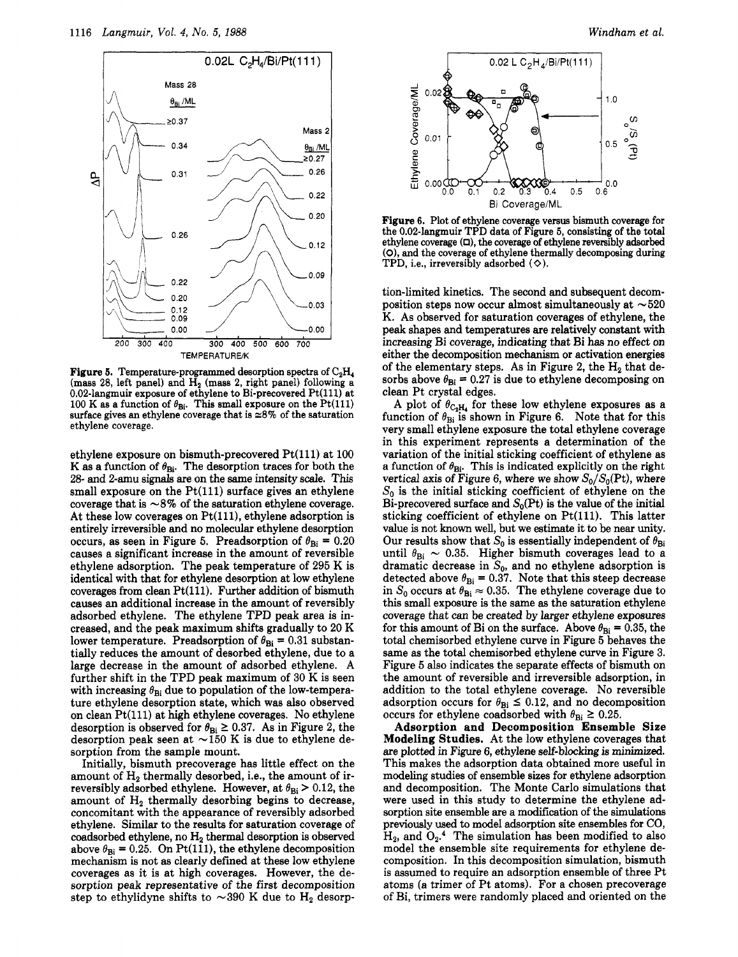

**Figure 5.** Temperature-programmed desorption spectra of  $C_2H_4$ (mass 28, left panel) and  $H_2$  (mass 2, right panel) following a 0.02-langmuir exposure of ethylene to Bi-precovered Pt(lll) at 100 K as a function of  $\theta_{\text{Bi}}$ . This small exposure on the Pt(111) surface gives an ethylene coverage that is  $\approx 8\%$  of the saturation ethylene coverage.

ethylene exposure on bismuth-precovered  $Pt(111)$  at 100 K as a function of  $\theta_{\text{Bi}}$ . The desorption traces for both the 28- and 2-amu signals are on the same intensity scale. This small exposure on the  $Pt(111)$  surface gives an ethylene coverage that is  $\sim 8\%$  of the saturation ethylene coverage. At these low coverages on  $Pt(111)$ , ethylene adsorption is entirely irreversible and no molecular ethylene desorption occurs, as seen in Figure 5. Preadsorption of  $\theta_{\text{Bi}} = 0.20$ causes <sup>a</sup> significant increase in the amount of reversible ethylene adsorption. The peak temperature of <sup>295</sup> K is identical with that for ethylene desorption at low ethylene coverages from clean Pt(lll). Further addition of bismuth causes an additional increase in the amount of reversibly adsorbed ethylene. The ethylene TPD peak area is increased, and the peak maximum shifts gradually to <sup>20</sup> K lower temperature. Preadsorption of  $\theta_{\text{Bi}} = 0.31$  substantially reduces the amount of desorbed ethylene, due to <sup>a</sup> large decrease in the amount of adsorbed ethylene. A further shift in the TPD peak maximum of <sup>30</sup> K is seen with increasing  $\theta_{\text{Bi}}$  due to population of the low-temperature ethylene desorption state, which was also observed on clean Pt(lll) at high ethylene coverages. No ethylene desorption is observed for  $\theta_{\text{Bi}} \geq 0.37$ . As in Figure 2, the desorption peak seen at  ${\sim}150\ \mathrm{K}$  is due to ethylene desorption from the sample mount.

Initially, bismuth precoverage has little effect on the amount of  $H_2$  thermally desorbed, i.e., the amount of irreversibly adsorbed ethylene. However, at  $\theta_{\text{Bi}} > 0.12$ , the amount of  $H_2$  thermally desorbing begins to decrease, concomitant with the appearance of reversibly adsorbed ethylene. Similar to the results for saturation coverage of coadsorbed ethylene, no  $H_2$  thermal desorption is observed above  $\theta_{\text{Bi}} = 0.25$ . On Pt(111), the ethylene decomposition mechanism is not as clearly defined at these low ethylene coverages as it is at high coverages. However, the desorption peak representative of the first decomposition step to ethylidyne shifts to  $\sim$ 390 K due to H<sub>2</sub> desorp-



Figure 6. Plot of ethylene coverage versus bismuth coverage for the 0.02-langmuir TPD data of Figure 5, consisting of the total ethylene coverage  $(\Box)$ , the coverage of ethylene reversibly adsorbed (O), and the coverage of ethylene thermally decomposing during TPD, i.e., irreversibly adsorbed  $(\diamond)$ .

tion-limited kinetics. The second and subsequent decomposition steps now occur almost simultaneously at  $\sim$ 520 K. As observed for saturation coverages of ethylene, the peak shapes and temperatures are relatively constant with increasing Bi coverage, indicating that Bi has no effect on either the decomposition mechanism or activation energies of the elementary steps. As in Figure 2, the  $H_2$  that desorbs above  $\theta_{\text{Bi}} = 0.27$  is due to ethylene decomposing on clean Pt crystal edges.

A plot of  $\theta_{C_2H_4}$  for these low ethylene exposures as a function of  $\theta_{\text{Bi}}$  is shown in Figure 6. Note that for this very small ethylene exposure the total ethylene coverage in this experiment represents <sup>a</sup> determination of the variation of the initial sticking coefficient of ethylene as a function of  $\theta_{\text{Bi}}$ . This is indicated explicitly on the right vertical axis of Figure 6, where we show  $S_0/S_0(\text{Pt})$ , where  $S_0$  is the initial sticking coefficient of ethylene on the Bi-precovered surface and  $S_0(\text{Pt})$  is the value of the initial sticking coefficient of ethylene on  $Pt(111)$ . This latter value is not known well, but we estimate it to be near unity. Our results show that  $S_0$  is essentially independent of  $\theta_{\text{Bi}}$ until  $\theta_{\text{Bi}} \sim 0.35$ . Higher bismuth coverages lead to a dramatic decrease in  $S_0$ , and no ethylene adsorption is detected above  $\theta_{\text{Bi}}$  = 0.37. Note that this steep decrease in  $S_0$  occurs at  $\theta_\text{Bi} \approx 0.35$ . The ethylene coverage due to this small exposure is the same as the saturation ethylene coverage that can be created by larger ethylene exposures for this amount of Bi on the surface. Above  $\theta_{\text{Bi}} = 0.35$ , the total chemisorbed ethylene curve in Figure <sup>5</sup> behaves the same as the total chemisorbed ethylene curve in Figure 3. Figure <sup>5</sup> also indicates the separate effects of bismuth on the amount of reversible and irreversible adsorption, in addition to the total ethylene coverage. No reversible adsorption occurs for  $\theta_{\text{Bi}} \leq 0.12$ , and no decomposition occurs for ethylene coadsorbed with  $\theta_{\text{Bi}} \geq 0.25$ .

Adsorption and Decomposition Ensemble Size Modeling Studies. At the low ethylene coverages that are plotted in Figure 6, ethylene self-blocking is minimized. This makes the adsorption data obtained more useful in modeling studies of ensemble sizes for ethylene adsorption and decomposition. The Monte Carlo simulations that were used in this study to determine the ethylene adsorption site ensemble are <sup>a</sup> modification of the simulations previously used to model adsorption site ensembles for CO,  $H_2$ , and  $O_2$ .<sup>4</sup> The simulation has been modified to also model the ensemble site requirements for ethylene decomposition. In this decomposition simulation, bismuth is assumed to require an adsorption ensemble of three Pt atoms (a trimer of Pt atoms). For <sup>a</sup> chosen precoverage of Bi, trimers were randomly placed and oriented on the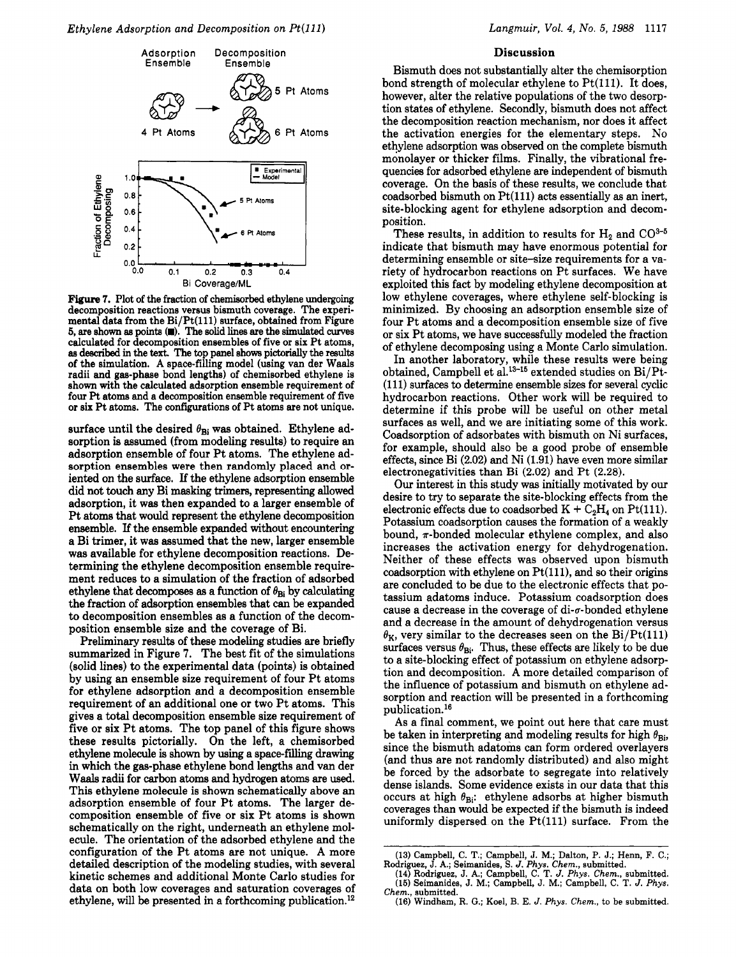

Figure 7. Plot of the fraction of chemisorbed ethylene undergoing decomposition reactions versus bismuth coverage. The experimental data from the Bi/Pt(lll) surface, obtained from Figure  $5$ , are shown as points  $($  $)$ . The solid lines are the simulated curves calculated for decomposition ensembles of five or six Pt atoms, as described in the text. The top panel shows pictorially the results of the simulation. A space-filling model (using van der Waals radii and gas-phase bond lengths) of chemisorbed ethylene is shown with the calculated adsorption ensemble requirement of four Pt atoms and <sup>a</sup> decomposition ensemble requirement of five or six Pt atoms. The configurations of Pt atoms are not unique.

surface until the desired  $\theta_{\text{Bi}}$  was obtained. Ethylene adsorption is assumed (from modeling results) to require an adsorption ensemble of four Pt atoms. The ethylene adsorption ensembles were then randomly placed and oriented on the surface. If the ethylene adsorption ensemble did not touch any Bi masking trimers, representing allowed adsorption, it was then expanded to <sup>a</sup> larger ensemble of Pt atoms that would represent the ethylene decomposition ensemble. If the ensemble expanded without encountering <sup>a</sup> Bi trimer, it was assumed that the new, larger ensemble was available for ethylene decomposition reactions. Determining the ethylene decomposition ensemble requirement reduces to <sup>a</sup> simulation of the fraction of adsorbed ethylene that decomposes as a function of  $\theta_{\text{Bi}}$  by calculating the fraction of adsorption ensembles that can be expanded to decomposition ensembles as <sup>a</sup> function of the decomposition ensemble size and the coverage of Bi.

Preliminary results of these modeling studies are briefly summarized in Figure 7. The best fit of the simulations (solid lines) to the experimental data (points) is obtained by using an ensemble size requirement of four Pt atoms for ethylene adsorption and <sup>a</sup> decomposition ensemble requirement of an additional one or two Pt atoms. This gives <sup>a</sup> total decomposition ensemble size requirement of five or six Pt atoms. The top panel of this figure shows these results pictorially. On the left, <sup>a</sup> chemisorbed ethylene molecule is shown by using <sup>a</sup> space-filling drawing in which the gas-phase ethylene bond lengths and van der Waals radii for carbon atoms and hydrogen atoms are used. This ethylene molecule is shown schematically above an adsorption ensemble of four Pt atoms. The larger decomposition ensemble of five or six Pt atoms is shown schematically on the right, underneath an ethylene molecule. The orientation of the adsorbed ethylene and the configuration of the Pt atoms are not unique. A more detailed description of the modeling studies, with several kinetic schemes and additional Monte Carlo studies for data on both low coverages and saturation coverages of ethylene, will be presented in a forthcoming publication.<sup>12</sup>

#### Discussion

Bismuth does not substantially alter the chemisorption bond strength of molecular ethylene to Pt(111). It does, however, alter the relative populations of the two desorption states of ethylene. Secondly, bismuth does not affect the decomposition reaction mechanism, nor does it affect the activation energies for the elementary steps. No ethylene adsorption was observed on the complete bismuth monolayer or thicker films. Finally, the vibrational frequencies for adsorbed ethylene are independent of bismuth coverage. On the basis of these results, we conclude that  $coadsorbed$  bismuth on  $Pt(111)$  acts essentially as an inert, site-blocking agent for ethylene adsorption and decomposition.

These results, in addition to results for  $H_2$  and  $CO^{3-5}$ indicate that bismuth may have enormous potential for determining ensemble or site-size requirements for <sup>a</sup> variety of hydrocarbon reactions on Pt surfaces. We have exploited this fact by modeling ethylene decomposition at low ethylene coverages, where ethylene self-blocking is minimized. By choosing an adsorption ensemble size of four Pt atoms and <sup>a</sup> decomposition ensemble size of five or six Pt atoms, we have successfully modeled the fraction of ethylene decomposing using <sup>a</sup> Monte Carlo simulation.

In another laboratory, while these results were being obtained, Campbell et al. $13-15$  extended studies on Bi/Pt-(111) surfaces to determine ensemble sizes for several cyclic hydrocarbon reactions. Other work will be required to determine if this probe will be useful on other metal surfaces as well, and we are initiating some of this work. Coadsorption of adsorbates with bismuth on Ni surfaces, for example, should also be <sup>a</sup> good probe of ensemble effects, since Bi (2.02) and Ni (1.91) have even more similar electronegativities than Bi (2.02) and Pt (2.28).

Our interest in this study was initially motivated by our desire to try to separate the site-blocking effects from the electronic effects due to coadsorbed  $K + C_2H_4$  on Pt(111). Potassium coadsorption causes the formation of <sup>a</sup> weakly bound,  $\pi$ -bonded molecular ethylene complex, and also increases the activation energy for dehydrogenation. Neither of these effects was observed upon bismuth  $\alpha$  coadsorption with ethylene on  $Pt(111)$ , and so their origins are concluded to be due to the electronic effects that potassium adatoms induce. Potassium coadsorption does cause a decrease in the coverage of  $di- $\sigma$ -bonded ethylene$ and <sup>a</sup> decrease in the amount of dehydrogenation versus  $\theta_K$ , very similar to the decreases seen on the Bi/Pt(111) surfaces versus  $\theta_{\text{Bi}}$ . Thus, these effects are likely to be due to <sup>a</sup> site-blocking effect of potassium on ethylene adsorption and decomposition. A more detailed comparison of the influence of potassium and bismuth on ethylene adsorption and reaction will be presented in <sup>a</sup> forthcoming publication.16

As <sup>a</sup> final comment, we point out here that care must be taken in interpreting and modeling results for high  $\theta_{\text{Bi}}$ , since the bismuth adatoms can form ordered overlayers (and thus are not randomly distributed) and also might be forced by the adsorbate to segregate into relatively dense islands. Some evidence exists in our data that this occurs at high  $\theta_{\text{Bi}}$ : ethylene adsorbs at higher bismuth coverages than would be expected if the bismuth is indeed uniformly dispersed on the  $Pt(111)$  surface. From the

<sup>(13)</sup> Campbell, C. T.; Campbell, J. M.; Dalton, P. J.; Henn, F. C.;

Rodriguez, J. A.; Seimanides, S. J. Phys. Chem., submitted.<br>
(14) Rodriguez, J. A.; Campbell, C. T. J. Phys. Chem., submitted.<br>
(15) Seimanides, J. M.; Campbell, J. M.; Campbell, C. T. J. Phys. Chem., submitted.

<sup>(16)</sup> Windham, R. G.; Koel, B, E. J. Phys. Chem., to be submitted.